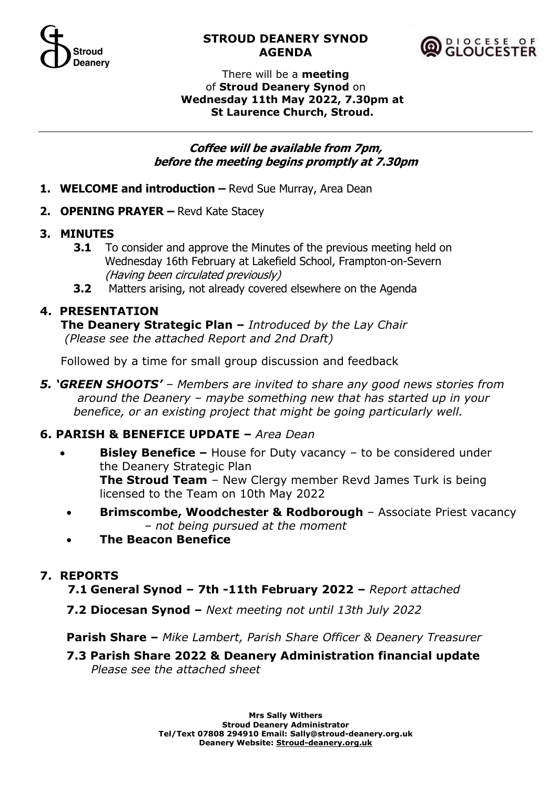

### **STROUD DEANERY SYNOD AGENDA**



#### There will be a **meeting** of **Stroud Deanery Synod** on **Wednesday 11th May 2022, 7.30pm at St Laurence Church, Stroud.**

### **Coffee will be available from 7pm, before the meeting begins promptly at 7.30pm**

- 1. **WELCOME** and introduction Revd Sue Murray, Area Dean
- **2. OPENING PRAYER –** Revd Kate Stacey

### **3. MINUTES**

- **3.1** To consider and approve the Minutes of the previous meeting held on Wednesday 16th February at Lakefield School, Frampton-on-Severn (Having been circulated previously)
- **3.2** Matters arising, not already covered elsewhere on the Agenda

# **4. PRESENTATION**

**The Deanery Strategic Plan –** *Introduced by the Lay Chair (Please see the attached Report and 2nd Draft)*

Followed by a time for small group discussion and feedback

*5. 'GREEN SHOOTS' – Members are invited to share any good news stories from around the Deanery – maybe something new that has started up in your benefice, or an existing project that might be going particularly well.*

# **6. PARISH & BENEFICE UPDATE –** *Area Dean*

- **Bisley Benefice –** House for Duty vacancy to be considered under the Deanery Strategic Plan **The Stroud Team** – New Clergy member Revd James Turk is being licensed to the Team on 10th May 2022
	- **Brimscombe, Woodchester & Rodborough** Associate Priest vacancy *– not being pursued at the moment*
	- **The Beacon Benefice**

### **7. REPORTS**

 **7.1 General Synod – 7th -11th February 2022 –** *Report attached*

**7.2 Diocesan Synod –** *Next meeting not until 13th July 2022*

**Parish Share –** *Mike Lambert, Parish Share Officer & Deanery Treasurer* 

**7.3 Parish Share 2022 & Deanery Administration financial update**   *Please see the attached sheet*